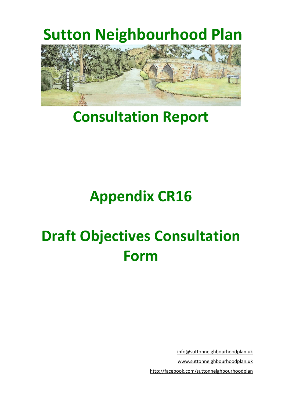### **Sutton Neighbourhood Plan**



#### **Consultation Report**

## **Appendix CR16**

# **Draft Objectives Consultation Form**

info@suttonneighbourhoodplan.uk www.suttonneighbourhoodplan.uk http://facebook.com/suttonneighbourhoodplan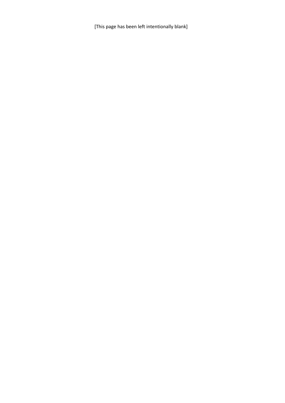[This page has been left intentionally blank]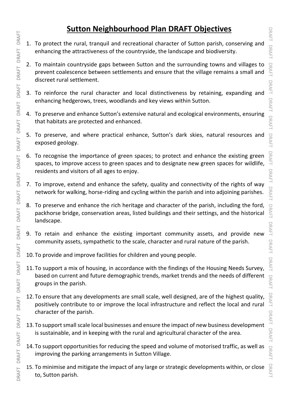#### **Sutton Neighbourhood Plan DRAFT Objectives**

- 1. To protect the rural, tranquil and recreational character of Sutton parish, conserving and enhancing the attractiveness of the countryside, the landscape and biodiversity.
- 2. To maintain countryside gaps between Sutton and the surrounding towns and villages to prevent coalescence between settlements and ensure that the village remains a small and discreet rural settlement.
- 3. To reinforce the rural character and local distinctiveness by retaining, expanding and enhancing hedgerows, trees, woodlands and key views within Sutton.
- 4. To preserve and enhance Sutton's extensive natural and ecological environments, ensuring that habitats are protected and enhanced.
- 5. To preserve, and where practical enhance, Sutton's dark skies, natural resources and exposed geology.
- 6. To recognise the importance of green spaces; to protect and enhance the existing green spaces, to improve access to green spaces and to designate new green spaces for wildlife, residents and visitors of all ages to enjoy.
- 7. To improve, extend and enhance the safety, quality and connectivity of the rights of way network for walking, horse-riding and cycling within the parish and into adjoining parishes.
- 8. To preserve and enhance the rich heritage and character of the parish, including the ford, packhorse bridge, conservation areas, listed buildings and their settings, and the historical landscape.
- 9. To retain and enhance the existing important community assets, and provide new community assets, sympathetic to the scale, character and rural nature of the parish.
- 10.To provide and improve facilities for children and young people.
- 11.To support a mix of housing, in accordance with the findings of the Housing Needs Survey, based on current and future demographic trends, market trends and the needs of different groups in the parish.
- 12.To ensure that any developments are small scale, well designed, are of the highest quality, positively contribute to or improve the local infrastructure and reflect the local and rural character of the parish.
- 13.To support small scale local businesses and ensure the impact of new business development is sustainable, and in keeping with the rural and agricultural character of the area.
- 14.To support opportunities for reducing the speed and volume of motorised traffic, as well as improving the parking arrangements in Sutton Village.
- 15. To minimise and mitigate the impact of any large or strategic developments within, or close to, Sutton parish.